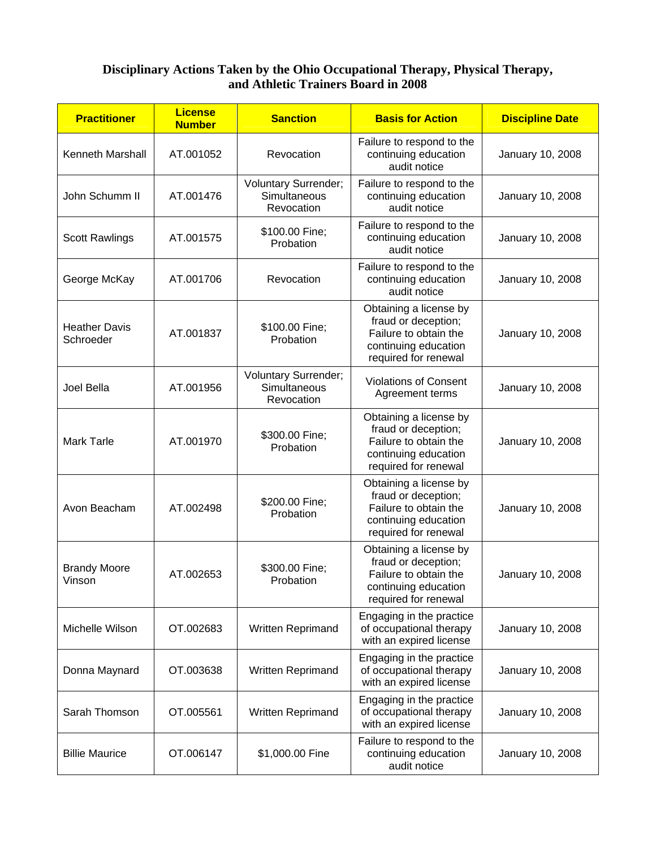## **Disciplinary Actions Taken by the Ohio Occupational Therapy, Physical Therapy, and Athletic Trainers Board in 2008**

| <b>Practitioner</b>               | <b>License</b><br><b>Number</b> | <b>Sanction</b>                                           | <b>Basis for Action</b>                                                                                                | <b>Discipline Date</b> |
|-----------------------------------|---------------------------------|-----------------------------------------------------------|------------------------------------------------------------------------------------------------------------------------|------------------------|
| Kenneth Marshall                  | AT.001052                       | Revocation                                                | Failure to respond to the<br>continuing education<br>audit notice                                                      | January 10, 2008       |
| John Schumm II                    | AT.001476                       | Voluntary Surrender;<br>Simultaneous<br>Revocation        | Failure to respond to the<br>continuing education<br>audit notice                                                      | January 10, 2008       |
| <b>Scott Rawlings</b>             | AT.001575                       | \$100.00 Fine;<br>Probation                               | Failure to respond to the<br>continuing education<br>audit notice                                                      | January 10, 2008       |
| George McKay                      | AT.001706                       | Revocation                                                | Failure to respond to the<br>continuing education<br>audit notice                                                      | January 10, 2008       |
| <b>Heather Davis</b><br>Schroeder | AT.001837                       | \$100.00 Fine;<br>Probation                               | Obtaining a license by<br>fraud or deception;<br>Failure to obtain the<br>continuing education<br>required for renewal | January 10, 2008       |
| Joel Bella                        | AT.001956                       | <b>Voluntary Surrender;</b><br>Simultaneous<br>Revocation | <b>Violations of Consent</b><br>Agreement terms                                                                        | January 10, 2008       |
| <b>Mark Tarle</b>                 | AT.001970                       | \$300.00 Fine;<br>Probation                               | Obtaining a license by<br>fraud or deception;<br>Failure to obtain the<br>continuing education<br>required for renewal | January 10, 2008       |
| Avon Beacham                      | AT.002498                       | \$200.00 Fine;<br>Probation                               | Obtaining a license by<br>fraud or deception;<br>Failure to obtain the<br>continuing education<br>required for renewal | January 10, 2008       |
| <b>Brandy Moore</b><br>Vinson     | AT.002653                       | \$300.00 Fine;<br>Probation                               | Obtaining a license by<br>fraud or deception;<br>Failure to obtain the<br>continuing education<br>required for renewal | January 10, 2008       |
| Michelle Wilson                   | OT.002683                       | Written Reprimand                                         | Engaging in the practice<br>of occupational therapy<br>with an expired license                                         | January 10, 2008       |
| Donna Maynard                     | OT.003638                       | Written Reprimand                                         | Engaging in the practice<br>of occupational therapy<br>with an expired license                                         | January 10, 2008       |
| Sarah Thomson                     | OT.005561                       | <b>Written Reprimand</b>                                  | Engaging in the practice<br>of occupational therapy<br>with an expired license                                         | January 10, 2008       |
| <b>Billie Maurice</b>             | OT.006147                       | \$1,000.00 Fine                                           | Failure to respond to the<br>continuing education<br>audit notice                                                      | January 10, 2008       |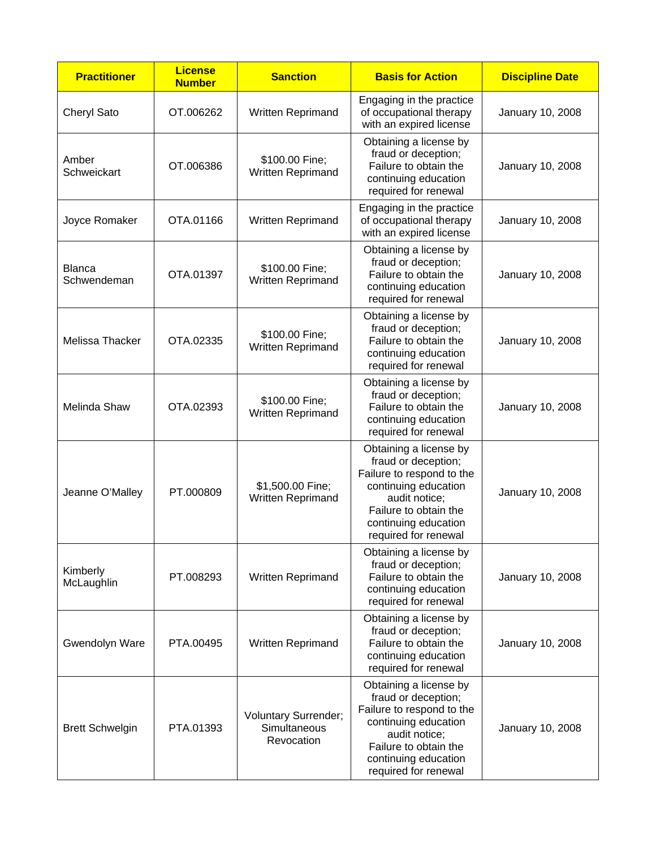| <b>Practitioner</b>          | <b>License</b><br><b>Number</b> | <b>Sanction</b>                                           | <b>Basis for Action</b>                                                                                                                                                                      | <b>Discipline Date</b> |
|------------------------------|---------------------------------|-----------------------------------------------------------|----------------------------------------------------------------------------------------------------------------------------------------------------------------------------------------------|------------------------|
| Cheryl Sato                  | OT.006262                       | Written Reprimand                                         | Engaging in the practice<br>of occupational therapy<br>with an expired license                                                                                                               | January 10, 2008       |
| Amber<br>Schweickart         | OT.006386                       | \$100.00 Fine;<br>Written Reprimand                       | Obtaining a license by<br>fraud or deception;<br>Failure to obtain the<br>continuing education<br>required for renewal                                                                       | January 10, 2008       |
| Joyce Romaker                | OTA.01166                       | <b>Written Reprimand</b>                                  | Engaging in the practice<br>of occupational therapy<br>with an expired license                                                                                                               | January 10, 2008       |
| <b>Blanca</b><br>Schwendeman | OTA.01397                       | \$100.00 Fine;<br>Written Reprimand                       | Obtaining a license by<br>fraud or deception;<br>Failure to obtain the<br>continuing education<br>required for renewal                                                                       | January 10, 2008       |
| Melissa Thacker              | OTA.02335                       | \$100.00 Fine;<br>Written Reprimand                       | Obtaining a license by<br>fraud or deception;<br>Failure to obtain the<br>continuing education<br>required for renewal                                                                       | January 10, 2008       |
| Melinda Shaw                 | OTA.02393                       | \$100.00 Fine;<br>Written Reprimand                       | Obtaining a license by<br>fraud or deception;<br>Failure to obtain the<br>continuing education<br>required for renewal                                                                       | January 10, 2008       |
| Jeanne O'Malley              | PT.000809                       | \$1,500.00 Fine;<br>Written Reprimand                     | Obtaining a license by<br>fraud or deception;<br>Failure to respond to the<br>continuing education<br>audit notice;<br>Failure to obtain the<br>continuing education<br>required for renewal | January 10, 2008       |
| Kimberly<br>McLaughlin       | PT.008293                       | Written Reprimand                                         | Obtaining a license by<br>fraud or deception;<br>Failure to obtain the<br>continuing education<br>required for renewal                                                                       | January 10, 2008       |
| Gwendolyn Ware               | PTA.00495                       | Written Reprimand                                         | Obtaining a license by<br>fraud or deception;<br>Failure to obtain the<br>continuing education<br>required for renewal                                                                       | January 10, 2008       |
| <b>Brett Schwelgin</b>       | PTA.01393                       | <b>Voluntary Surrender;</b><br>Simultaneous<br>Revocation | Obtaining a license by<br>fraud or deception;<br>Failure to respond to the<br>continuing education<br>audit notice;<br>Failure to obtain the<br>continuing education<br>required for renewal | January 10, 2008       |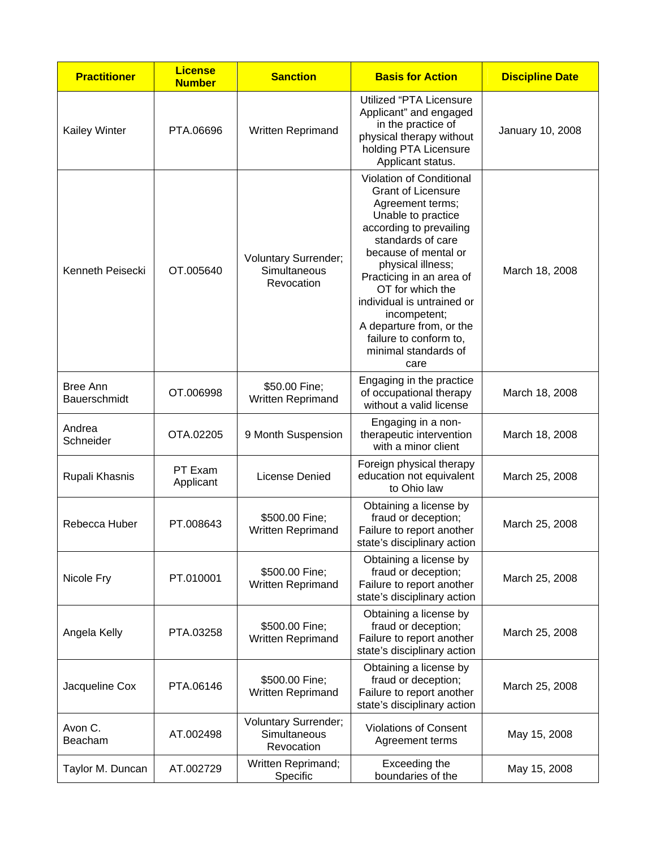| <b>Practitioner</b>             | <b>License</b><br><b>Number</b> | <b>Sanction</b>                                           | <b>Basis for Action</b>                                                                                                                                                                                                                                                                                                                                                          | <b>Discipline Date</b> |
|---------------------------------|---------------------------------|-----------------------------------------------------------|----------------------------------------------------------------------------------------------------------------------------------------------------------------------------------------------------------------------------------------------------------------------------------------------------------------------------------------------------------------------------------|------------------------|
| <b>Kailey Winter</b>            | PTA.06696                       | Written Reprimand                                         | Utilized "PTA Licensure<br>Applicant" and engaged<br>in the practice of<br>physical therapy without<br>holding PTA Licensure<br>Applicant status.                                                                                                                                                                                                                                | January 10, 2008       |
| Kenneth Peisecki                | OT.005640                       | <b>Voluntary Surrender;</b><br>Simultaneous<br>Revocation | Violation of Conditional<br><b>Grant of Licensure</b><br>Agreement terms;<br>Unable to practice<br>according to prevailing<br>standards of care<br>because of mental or<br>physical illness;<br>Practicing in an area of<br>OT for which the<br>individual is untrained or<br>incompetent;<br>A departure from, or the<br>failure to conform to,<br>minimal standards of<br>care | March 18, 2008         |
| Bree Ann<br><b>Bauerschmidt</b> | OT.006998                       | \$50.00 Fine;<br>Written Reprimand                        | Engaging in the practice<br>of occupational therapy<br>without a valid license                                                                                                                                                                                                                                                                                                   | March 18, 2008         |
| Andrea<br>Schneider             | OTA.02205                       | 9 Month Suspension                                        | Engaging in a non-<br>therapeutic intervention<br>with a minor client                                                                                                                                                                                                                                                                                                            | March 18, 2008         |
| Rupali Khasnis                  | PT Exam<br>Applicant            | <b>License Denied</b>                                     | Foreign physical therapy<br>education not equivalent<br>to Ohio law                                                                                                                                                                                                                                                                                                              | March 25, 2008         |
| Rebecca Huber                   | PT.008643                       | \$500.00 Fine;<br>Written Reprimand                       | Obtaining a license by<br>fraud or deception;<br>Failure to report another<br>state's disciplinary action                                                                                                                                                                                                                                                                        | March 25, 2008         |
| Nicole Fry                      | PT.010001                       | \$500.00 Fine;<br><b>Written Reprimand</b>                | Obtaining a license by<br>fraud or deception;<br>Failure to report another<br>state's disciplinary action                                                                                                                                                                                                                                                                        | March 25, 2008         |
| Angela Kelly                    | PTA.03258                       | \$500.00 Fine;<br><b>Written Reprimand</b>                | Obtaining a license by<br>fraud or deception;<br>Failure to report another<br>state's disciplinary action                                                                                                                                                                                                                                                                        | March 25, 2008         |
| Jacqueline Cox                  | PTA.06146                       | \$500.00 Fine;<br>Written Reprimand                       | Obtaining a license by<br>fraud or deception;<br>Failure to report another<br>state's disciplinary action                                                                                                                                                                                                                                                                        | March 25, 2008         |
| Avon C.<br>Beacham              | AT.002498                       | Voluntary Surrender;<br>Simultaneous<br>Revocation        | <b>Violations of Consent</b><br>Agreement terms                                                                                                                                                                                                                                                                                                                                  | May 15, 2008           |
| Taylor M. Duncan                | AT.002729                       | Written Reprimand;<br>Specific                            | Exceeding the<br>boundaries of the                                                                                                                                                                                                                                                                                                                                               | May 15, 2008           |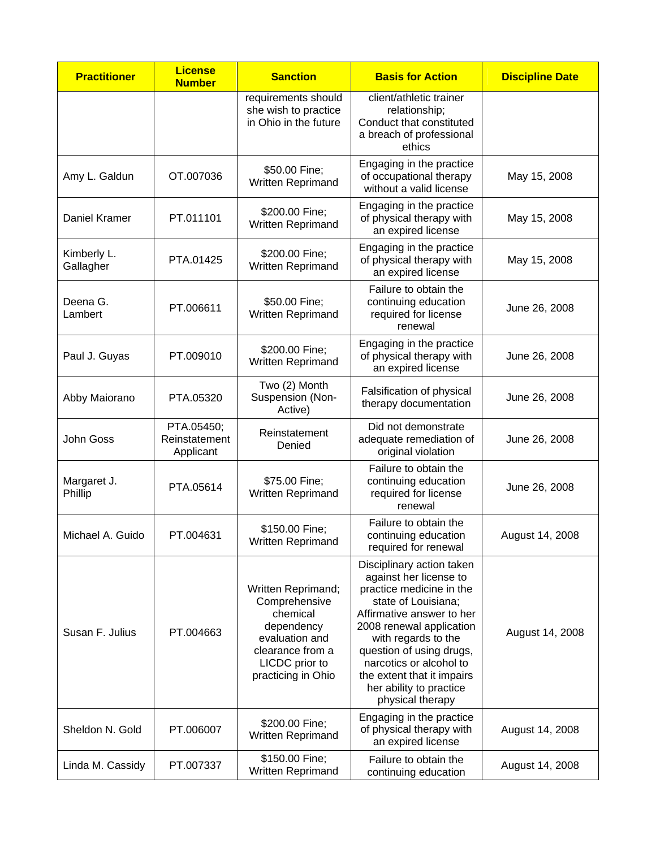| <b>Practitioner</b>      | <b>License</b><br><b>Number</b>          | <b>Sanction</b>                                                                                                                             | <b>Basis for Action</b>                                                                                                                                                                                                                                                                                                    | <b>Discipline Date</b> |
|--------------------------|------------------------------------------|---------------------------------------------------------------------------------------------------------------------------------------------|----------------------------------------------------------------------------------------------------------------------------------------------------------------------------------------------------------------------------------------------------------------------------------------------------------------------------|------------------------|
|                          |                                          | requirements should<br>she wish to practice<br>in Ohio in the future                                                                        | client/athletic trainer<br>relationship;<br>Conduct that constituted<br>a breach of professional<br>ethics                                                                                                                                                                                                                 |                        |
| Amy L. Galdun            | OT.007036                                | \$50.00 Fine;<br>Written Reprimand                                                                                                          | Engaging in the practice<br>of occupational therapy<br>without a valid license                                                                                                                                                                                                                                             | May 15, 2008           |
| Daniel Kramer            | PT.011101                                | \$200.00 Fine;<br>Written Reprimand                                                                                                         | Engaging in the practice<br>of physical therapy with<br>an expired license                                                                                                                                                                                                                                                 | May 15, 2008           |
| Kimberly L.<br>Gallagher | PTA.01425                                | \$200.00 Fine;<br>Written Reprimand                                                                                                         | Engaging in the practice<br>of physical therapy with<br>an expired license                                                                                                                                                                                                                                                 | May 15, 2008           |
| Deena G.<br>Lambert      | PT.006611                                | \$50.00 Fine;<br>Written Reprimand                                                                                                          | Failure to obtain the<br>continuing education<br>required for license<br>renewal                                                                                                                                                                                                                                           | June 26, 2008          |
| Paul J. Guyas            | PT.009010                                | \$200.00 Fine;<br>Written Reprimand                                                                                                         | Engaging in the practice<br>of physical therapy with<br>an expired license                                                                                                                                                                                                                                                 | June 26, 2008          |
| Abby Maiorano            | PTA.05320                                | Two (2) Month<br>Suspension (Non-<br>Active)                                                                                                | Falsification of physical<br>therapy documentation                                                                                                                                                                                                                                                                         | June 26, 2008          |
| John Goss                | PTA.05450;<br>Reinstatement<br>Applicant | Reinstatement<br>Denied                                                                                                                     | Did not demonstrate<br>adequate remediation of<br>original violation                                                                                                                                                                                                                                                       | June 26, 2008          |
| Margaret J.<br>Phillip   | PTA.05614                                | \$75.00 Fine;<br>Written Reprimand                                                                                                          | Failure to obtain the<br>continuing education<br>required for license<br>renewal                                                                                                                                                                                                                                           | June 26, 2008          |
| Michael A. Guido         | PT.004631                                | \$150.00 Fine;<br>Written Reprimand                                                                                                         | Failure to obtain the<br>continuing education<br>required for renewal                                                                                                                                                                                                                                                      | August 14, 2008        |
| Susan F. Julius          | PT.004663                                | Written Reprimand;<br>Comprehensive<br>chemical<br>dependency<br>evaluation and<br>clearance from a<br>LICDC prior to<br>practicing in Ohio | Disciplinary action taken<br>against her license to<br>practice medicine in the<br>state of Louisiana;<br>Affirmative answer to her<br>2008 renewal application<br>with regards to the<br>question of using drugs,<br>narcotics or alcohol to<br>the extent that it impairs<br>her ability to practice<br>physical therapy | August 14, 2008        |
| Sheldon N. Gold          | PT.006007                                | \$200.00 Fine;<br>Written Reprimand                                                                                                         | Engaging in the practice<br>of physical therapy with<br>an expired license                                                                                                                                                                                                                                                 | August 14, 2008        |
| Linda M. Cassidy         | PT.007337                                | \$150.00 Fine;<br>Written Reprimand                                                                                                         | Failure to obtain the<br>continuing education                                                                                                                                                                                                                                                                              | August 14, 2008        |